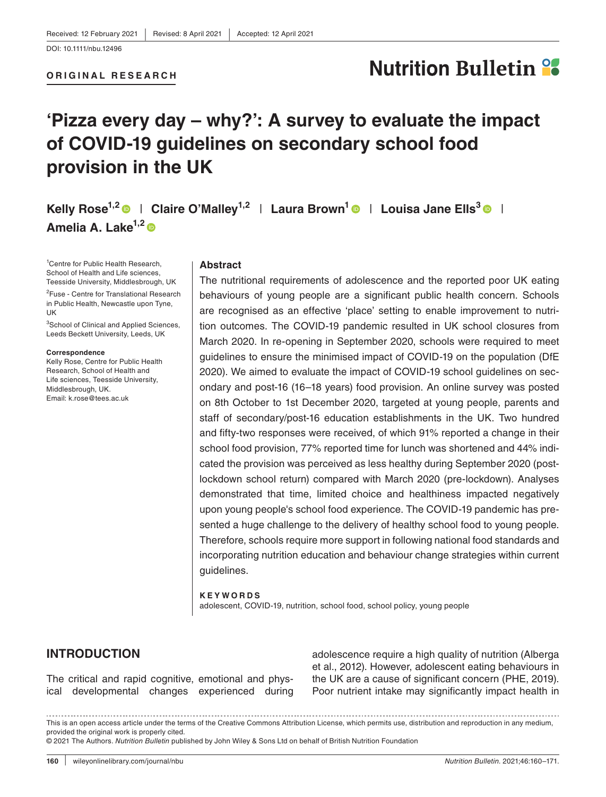#### **ORIGINAL RESEARCH**

# **Nutrition Bulletin %**

## **'Pizza every day – why?': A survey to evaluate the impact of COVID-19 guidelines on secondary school food provision in the UK**

Kelly Rose<sup>[1](https://orcid.org/0000-0002-7590-7323),2</sup>  $\bullet$  | Claire O'Malley<sup>1,2</sup> | Laura Brown<sup>1</sup>  $\bullet$  | Louisa Jane Ells<sup>3</sup>  $\bullet$  | **Amelia A. Lake1,[2](https://orcid.org/0000-0002-4657-8938)**

1 Centre for Public Health Research, School of Health and Life sciences, Teesside University, Middlesbrough, UK

<sup>2</sup>Fuse - Centre for Translational Research in Public Health, Newcastle upon Tyne, UK

<sup>3</sup>School of Clinical and Applied Sciences, Leeds Beckett University, Leeds, UK

#### **Correspondence**

Kelly Rose, Centre for Public Health Research, School of Health and Life sciences, Teesside University, Middlesbrough, UK. Email: [k.rose@tees.ac.uk](mailto:k.rose@tees.ac.uk)

#### **Abstract**

The nutritional requirements of adolescence and the reported poor UK eating behaviours of young people are a significant public health concern. Schools are recognised as an effective 'place' setting to enable improvement to nutrition outcomes. The COVID-19 pandemic resulted in UK school closures from March 2020. In re-opening in September 2020, schools were required to meet guidelines to ensure the minimised impact of COVID-19 on the population (DfE 2020). We aimed to evaluate the impact of COVID-19 school guidelines on secondary and post-16 (16–18 years) food provision. An online survey was posted on 8th October to 1st December 2020, targeted at young people, parents and staff of secondary/post-16 education establishments in the UK. Two hundred and fifty-two responses were received, of which 91% reported a change in their school food provision, 77% reported time for lunch was shortened and 44% indicated the provision was perceived as less healthy during September 2020 (postlockdown school return) compared with March 2020 (pre-lockdown). Analyses demonstrated that time, limited choice and healthiness impacted negatively upon young people's school food experience. The COVID-19 pandemic has presented a huge challenge to the delivery of healthy school food to young people. Therefore, schools require more support in following national food standards and incorporating nutrition education and behaviour change strategies within current guidelines.

#### **KEYWORDS** adolescent, COVID-19, nutrition, school food, school policy, young people

### **INTRODUCTION**

The critical and rapid cognitive, emotional and physical developmental changes experienced during adolescence require a high quality of nutrition (Alberga et al., 2012). However, adolescent eating behaviours in the UK are a cause of significant concern (PHE, 2019). Poor nutrient intake may significantly impact health in

This is an open access article under the terms of the [Creative Commons Attribution](http://creativecommons.org/licenses/by/4.0/) License, which permits use, distribution and reproduction in any medium, provided the original work is properly cited. © 2021 The Authors. *Nutrition Bulletin* published by John Wiley & Sons Ltd on behalf of British Nutrition Foundation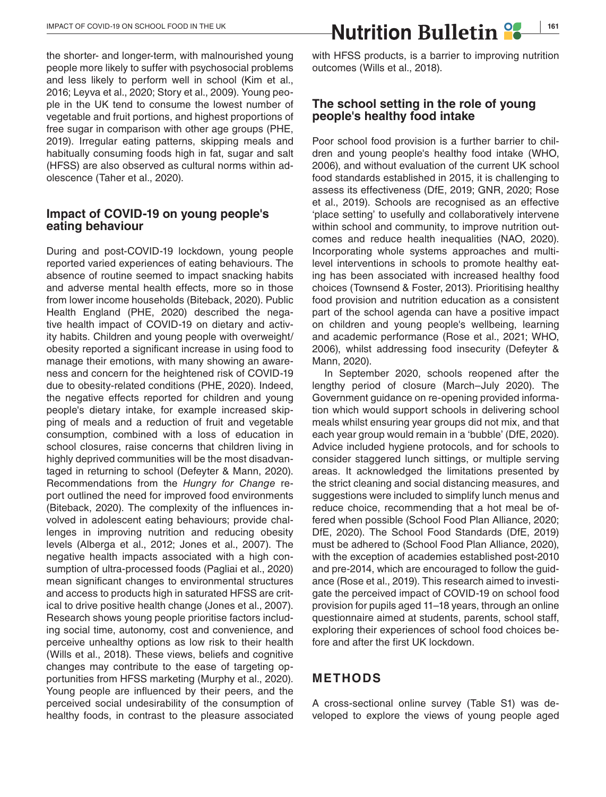the shorter- and longer-term, with malnourished young people more likely to suffer with psychosocial problems and less likely to perform well in school (Kim et al., 2016; Leyva et al., 2020; Story et al., 2009). Young people in the UK tend to consume the lowest number of vegetable and fruit portions, and highest proportions of free sugar in comparison with other age groups (PHE, 2019). Irregular eating patterns, skipping meals and habitually consuming foods high in fat, sugar and salt (HFSS) are also observed as cultural norms within adolescence (Taher et al., 2020).

#### **Impact of COVID-19 on young people's eating behaviour**

During and post-COVID-19 lockdown, young people reported varied experiences of eating behaviours. The absence of routine seemed to impact snacking habits and adverse mental health effects, more so in those from lower income households (Biteback, 2020). Public Health England (PHE, 2020) described the negative health impact of COVID-19 on dietary and activity habits. Children and young people with overweight/ obesity reported a significant increase in using food to manage their emotions, with many showing an awareness and concern for the heightened risk of COVID-19 due to obesity-related conditions (PHE, 2020). Indeed, the negative effects reported for children and young people's dietary intake, for example increased skipping of meals and a reduction of fruit and vegetable consumption, combined with a loss of education in school closures, raise concerns that children living in highly deprived communities will be the most disadvantaged in returning to school (Defeyter & Mann, 2020). Recommendations from the *Hungry for Change* report outlined the need for improved food environments (Biteback, 2020). The complexity of the influences involved in adolescent eating behaviours; provide challenges in improving nutrition and reducing obesity levels (Alberga et al., 2012; Jones et al., 2007). The negative health impacts associated with a high consumption of ultra-processed foods (Pagliai et al., 2020) mean significant changes to environmental structures and access to products high in saturated HFSS are critical to drive positive health change (Jones et al., 2007). Research shows young people prioritise factors including social time, autonomy, cost and convenience, and perceive unhealthy options as low risk to their health (Wills et al., 2018). These views, beliefs and cognitive changes may contribute to the ease of targeting opportunities from HFSS marketing (Murphy et al., 2020). Young people are influenced by their peers, and the perceived social undesirability of the consumption of healthy foods, in contrast to the pleasure associated with HFSS products, is a barrier to improving nutrition outcomes (Wills et al., 2018).

#### **The school setting in the role of young people's healthy food intake**

Poor school food provision is a further barrier to children and young people's healthy food intake (WHO, 2006), and without evaluation of the current UK school food standards established in 2015, it is challenging to assess its effectiveness (DfE, 2019; GNR, 2020; Rose et al., 2019). Schools are recognised as an effective 'place setting' to usefully and collaboratively intervene within school and community, to improve nutrition outcomes and reduce health inequalities (NAO, 2020). Incorporating whole systems approaches and multilevel interventions in schools to promote healthy eating has been associated with increased healthy food choices (Townsend & Foster, 2013). Prioritising healthy food provision and nutrition education as a consistent part of the school agenda can have a positive impact on children and young people's wellbeing, learning and academic performance (Rose et al., 2021; WHO, 2006), whilst addressing food insecurity (Defeyter & Mann, 2020).

In September 2020, schools reopened after the lengthy period of closure (March–July 2020). The Government guidance on re-opening provided information which would support schools in delivering school meals whilst ensuring year groups did not mix, and that each year group would remain in a 'bubble' (DfE, 2020). Advice included hygiene protocols, and for schools to consider staggered lunch sittings, or multiple serving areas. It acknowledged the limitations presented by the strict cleaning and social distancing measures, and suggestions were included to simplify lunch menus and reduce choice, recommending that a hot meal be offered when possible (School Food Plan Alliance, 2020; DfE, 2020). The School Food Standards (DfE, 2019) must be adhered to (School Food Plan Alliance, 2020), with the exception of academies established post-2010 and pre-2014, which are encouraged to follow the guidance (Rose et al., 2019). This research aimed to investigate the perceived impact of COVID-19 on school food provision for pupils aged 11–18 years, through an online questionnaire aimed at students, parents, school staff, exploring their experiences of school food choices before and after the first UK lockdown.

### **METHODS**

A cross-sectional online survey (Table S1) was developed to explore the views of young people aged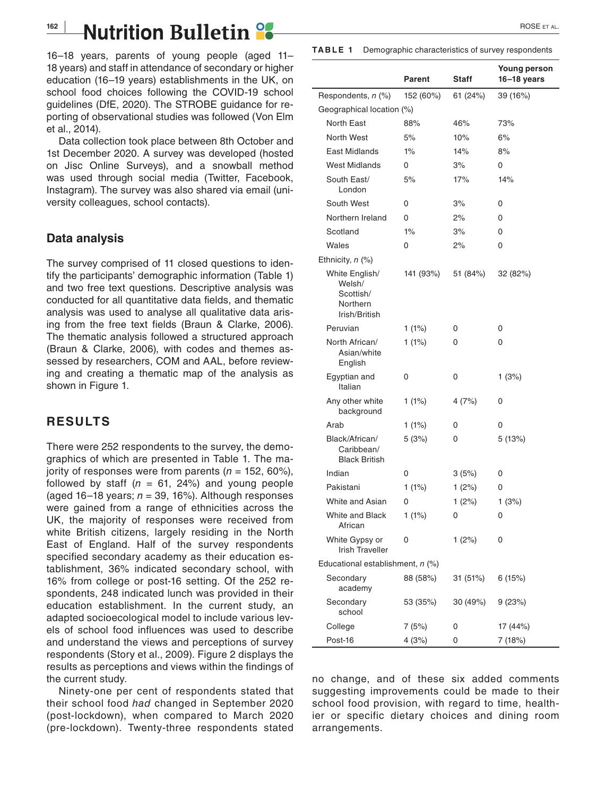## **162 | Nutrition Bulletin | 2000 | 2000 | 2000 | 2000 | 2005 ETAL.**

16–18 years, parents of young people (aged 11– 18 years) and staff in attendance of secondary or higher education (16–19 years) establishments in the UK, on school food choices following the COVID-19 school guidelines (DfE, 2020). The STROBE guidance for reporting of observational studies was followed (Von Elm et al., 2014).

Data collection took place between 8th October and 1st December 2020. A survey was developed (hosted on Jisc Online Surveys), and a snowball method was used through social media (Twitter, Facebook, Instagram). The survey was also shared via email (university colleagues, school contacts).

#### **Data analysis**

The survey comprised of 11 closed questions to identify the participants' demographic information (Table 1) and two free text questions. Descriptive analysis was conducted for all quantitative data fields, and thematic analysis was used to analyse all qualitative data arising from the free text fields (Braun & Clarke, 2006). The thematic analysis followed a structured approach (Braun & Clarke, 2006), with codes and themes assessed by researchers, COM and AAL, before reviewing and creating a thematic map of the analysis as shown in Figure 1.

### **RESULTS**

There were 252 respondents to the survey, the demographics of which are presented in Table 1. The majority of responses were from parents ( $n = 152, 60\%$ ), followed by staff ( $n = 61, 24%$ ) and young people (aged 16–18 years;  $n = 39, 16\%$ ). Although responses were gained from a range of ethnicities across the UK, the majority of responses were received from white British citizens, largely residing in the North East of England. Half of the survey respondents specified secondary academy as their education establishment, 36% indicated secondary school, with 16% from college or post-16 setting. Of the 252 respondents, 248 indicated lunch was provided in their education establishment. In the current study, an adapted socioecological model to include various levels of school food influences was used to describe and understand the views and perceptions of survey respondents (Story et al., 2009). Figure 2 displays the results as perceptions and views within the findings of the current study.

Ninety-one per cent of respondents stated that their school food *had* changed in September 2020 (post-lockdown), when compared to March 2020 (pre-lockdown). Twenty-three respondents stated

| <b>TABLE 1</b> | Demographic characteristics of survey respondents |  |
|----------------|---------------------------------------------------|--|
|----------------|---------------------------------------------------|--|

|                                                                    | Parent    | <b>Staff</b> | <b>Young person</b><br>16–18 years |
|--------------------------------------------------------------------|-----------|--------------|------------------------------------|
| Respondents, n (%)                                                 | 152 (60%) | 61 (24%)     | 39 (16%)                           |
| Geographical location (%)                                          |           |              |                                    |
| North East                                                         | 88%       | 46%          | 73%                                |
| North West                                                         | 5%        | 10%          | 6%                                 |
| East Midlands                                                      | $1\%$     | 14%          | 8%                                 |
| West Midlands                                                      | 0         | 3%           | 0                                  |
| South East/<br>London                                              | 5%        | 17%          | 14%                                |
| South West                                                         | 0         | 3%           | 0                                  |
| Northern Ireland                                                   | 0         | 2%           | 0                                  |
| Scotland                                                           | $1\%$     | 3%           | 0                                  |
| Wales                                                              | 0         | 2%           | 0                                  |
| Ethnicity, $n$ $(\%)$                                              |           |              |                                    |
| White English/<br>Welsh/<br>Scottish/<br>Northern<br>Irish/British | 141 (93%) | 51 (84%)     | 32 (82%)                           |
| Peruvian                                                           | $1(1\%)$  | 0            | 0                                  |
| North African/<br>Asian/white<br>English                           | 1(1%)     | 0            | 0                                  |
| Egyptian and<br>Italian                                            | 0         | 0            | 1(3%)                              |
| Any other white<br>background                                      | $1(1\%)$  | 4(7%)        | 0                                  |
| Arab                                                               | $1(1\%)$  | 0            | 0                                  |
| Black/African/<br>Caribbean/<br><b>Black British</b>               | 5(3%)     | 0            | 5(13%)                             |
| Indian                                                             | 0         | 3(5%)        | 0                                  |
| Pakistani                                                          | 1(1%)     | 1(2%)        | 0                                  |
| White and Asian                                                    | 0         | 1 $(2%)$     | 1(3%)                              |
| White and Black<br>African                                         | 1(1%)     | 0            | 0                                  |
| White Gypsy or<br><b>Irish Traveller</b>                           | 0         | 1(2%)        | 0                                  |
| Educational establishment, n (%)                                   |           |              |                                    |
| Secondary<br>academy                                               | 88 (58%)  | 31 (51%)     | 6(15%)                             |
| Secondary<br>school                                                | 53 (35%)  | 30 (49%)     | 9(23%)                             |
| College                                                            | 7(5%)     | 0            | 17 (44%)                           |
| Post-16                                                            | 4(3%)     | 0            | 7 (18%)                            |

no change, and of these six added comments suggesting improvements could be made to their school food provision, with regard to time, healthier or specific dietary choices and dining room arrangements.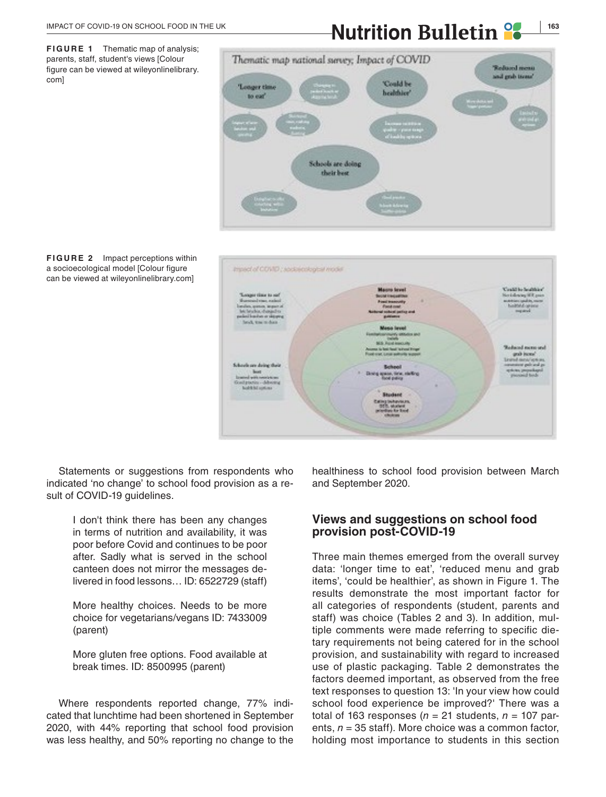**FIGURE 1** Thematic map of analysis; parents, staff, student's views [Colour figure can be viewed at [wileyonlinelibrary.](www.wileyonlinelibrary.com) [com\]](www.wileyonlinelibrary.com)

## **IMPACT OF COVID-19 ON SCHOOL FOOD IN THE UK <b>NUTRITION** Bulletin<sup>9</sup>







Statements or suggestions from respondents who indicated 'no change' to school food provision as a result of COVID-19 guidelines.

> I don't think there has been any changes in terms of nutrition and availability, it was poor before Covid and continues to be poor after. Sadly what is served in the school canteen does not mirror the messages delivered in food lessons… ID: 6522729 (staff)

> More healthy choices. Needs to be more choice for vegetarians/vegans ID: 7433009 (parent)

> More gluten free options. Food available at break times. ID: 8500995 (parent)

Where respondents reported change, 77% indicated that lunchtime had been shortened in September 2020, with 44% reporting that school food provision was less healthy, and 50% reporting no change to the healthiness to school food provision between March and September 2020.

#### **Views and suggestions on school food provision post-COVID-19**

Three main themes emerged from the overall survey data: 'longer time to eat', 'reduced menu and grab items', 'could be healthier', as shown in Figure 1. The results demonstrate the most important factor for all categories of respondents (student, parents and staff) was choice (Tables 2 and 3). In addition, multiple comments were made referring to specific dietary requirements not being catered for in the school provision, and sustainability with regard to increased use of plastic packaging. Table 2 demonstrates the factors deemed important, as observed from the free text responses to question 13: 'In your view how could school food experience be improved?' There was a total of 163 responses ( $n = 21$  students,  $n = 107$  parents, *n* = 35 staff). More choice was a common factor, holding most importance to students in this section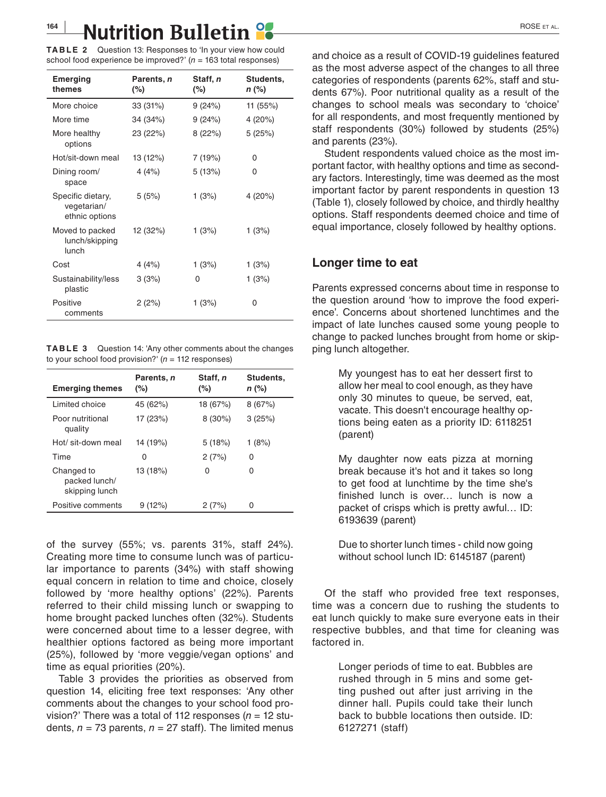**TABLE 2** Question 13: Responses to 'In your view how could school food experience be improved?' (*n* = 163 total responses)

| <b>Emerging</b><br>themes                          | Parents, n<br>$(\%)$ | Staff, n<br>(%) | Students,<br>n (%) |
|----------------------------------------------------|----------------------|-----------------|--------------------|
| More choice                                        | 33 (31%)             | 9 (24%)         | 11 (55%)           |
| More time                                          | 34 (34%)             | 9(24%)          | 4(20%)             |
| More healthy<br>options                            | 23 (22%)             | 8(22%)          | 5(25%)             |
| Hot/sit-down meal                                  | 13 (12%)             | 7 (19%)         | 0                  |
| Dining room/<br>space                              | 4(4%)                | 5(13%)          | 0                  |
| Specific dietary,<br>vegetarian/<br>ethnic options | 5(5%)                | 1(3%)           | 4 (20%)            |
| Moved to packed<br>lunch/skipping<br>lunch         | 12 (32%)             | 1(3%)           | 1(3%)              |
| Cost                                               | 4 $(4%)$             | 1 (3%)          | 1(3%)              |
| Sustainability/less<br>plastic                     | 3(3%)                | 0               | 1 (3%)             |
| Positive<br>comments                               | 2(2%)                | 1(3%)           | 0                  |

**TABLE 3** Question 14: 'Any other comments about the changes to your school food provision?' (*n* = 112 responses)

| <b>Emerging themes</b>                        | Parents, n<br>(%) | Staff, n<br>(%) | Students.<br>n (%) |
|-----------------------------------------------|-------------------|-----------------|--------------------|
| Limited choice                                | 45 (62%)          | 18 (67%)        | 8(67%)             |
| Poor nutritional<br>quality                   | 17 (23%)          | $8(30\%)$       | 3(25%)             |
| Hot/ sit-down meal                            | 14 (19%)          | 5(18%)          | 1(8%)              |
| Time                                          | 0                 | 2(7%)           | 0                  |
| Changed to<br>packed lunch/<br>skipping lunch | 13 (18%)          | 0               | 0                  |
| Positive comments                             | 9(12%)            | 2(7%)           | 0                  |

of the survey (55%; vs. parents 31%, staff 24%). Creating more time to consume lunch was of particular importance to parents (34%) with staff showing equal concern in relation to time and choice, closely followed by 'more healthy options' (22%). Parents referred to their child missing lunch or swapping to home brought packed lunches often (32%). Students were concerned about time to a lesser degree, with healthier options factored as being more important (25%), followed by 'more veggie/vegan options' and time as equal priorities (20%).

Table 3 provides the priorities as observed from question 14, eliciting free text responses: 'Any other comments about the changes to your school food provision?' There was a total of 112 responses (*n* = 12 students,  $n = 73$  parents,  $n = 27$  staff). The limited menus

and choice as a result of COVID-19 guidelines featured as the most adverse aspect of the changes to all three categories of respondents (parents 62%, staff and students 67%). Poor nutritional quality as a result of the changes to school meals was secondary to 'choice' for all respondents, and most frequently mentioned by staff respondents (30%) followed by students (25%) and parents (23%).

Student respondents valued choice as the most important factor, with healthy options and time as secondary factors. Interestingly, time was deemed as the most important factor by parent respondents in question 13 (Table 1), closely followed by choice, and thirdly healthy options. Staff respondents deemed choice and time of equal importance, closely followed by healthy options.

#### **Longer time to eat**

Parents expressed concerns about time in response to the question around 'how to improve the food experience'. Concerns about shortened lunchtimes and the impact of late lunches caused some young people to change to packed lunches brought from home or skipping lunch altogether.

> My youngest has to eat her dessert first to allow her meal to cool enough, as they have only 30 minutes to queue, be served, eat, vacate. This doesn't encourage healthy options being eaten as a priority ID: 6118251 (parent)

> My daughter now eats pizza at morning break because it's hot and it takes so long to get food at lunchtime by the time she's finished lunch is over… lunch is now a packet of crisps which is pretty awful… ID: 6193639 (parent)

> Due to shorter lunch times - child now going without school lunch ID: 6145187 (parent)

Of the staff who provided free text responses, time was a concern due to rushing the students to eat lunch quickly to make sure everyone eats in their respective bubbles, and that time for cleaning was factored in.

> Longer periods of time to eat. Bubbles are rushed through in 5 mins and some getting pushed out after just arriving in the dinner hall. Pupils could take their lunch back to bubble locations then outside. ID: 6127271 (staff)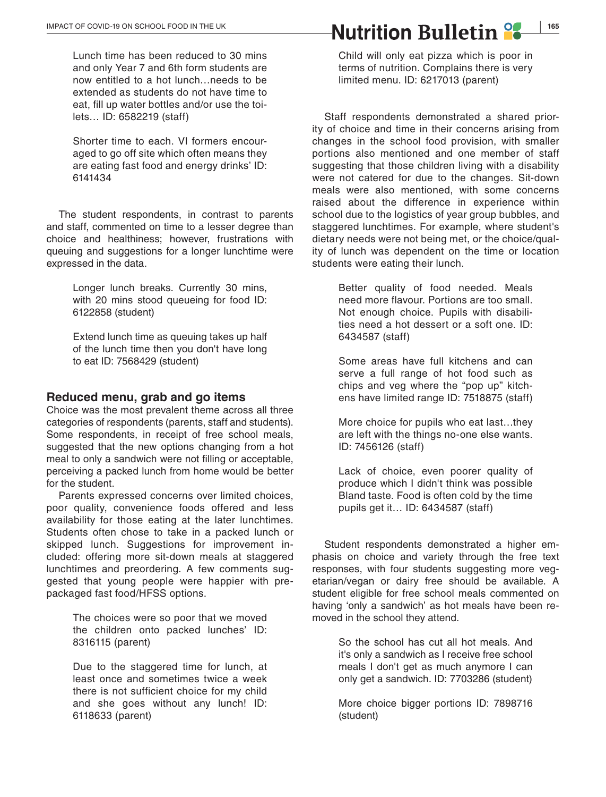Lunch time has been reduced to 30 mins and only Year 7 and 6th form students are now entitled to a hot lunch…needs to be extended as students do not have time to eat, fill up water bottles and/or use the toilets… ID: 6582219 (staff)

Shorter time to each. VI formers encouraged to go off site which often means they are eating fast food and energy drinks' ID: 6141434

The student respondents, in contrast to parents and staff, commented on time to a lesser degree than choice and healthiness; however, frustrations with queuing and suggestions for a longer lunchtime were expressed in the data.

> Longer lunch breaks. Currently 30 mins, with 20 mins stood queueing for food ID: 6122858 (student)

> Extend lunch time as queuing takes up half of the lunch time then you don't have long to eat ID: 7568429 (student)

#### **Reduced menu, grab and go items**

Choice was the most prevalent theme across all three categories of respondents (parents, staff and students). Some respondents, in receipt of free school meals, suggested that the new options changing from a hot meal to only a sandwich were not filling or acceptable, perceiving a packed lunch from home would be better for the student.

Parents expressed concerns over limited choices, poor quality, convenience foods offered and less availability for those eating at the later lunchtimes. Students often chose to take in a packed lunch or skipped lunch. Suggestions for improvement included: offering more sit-down meals at staggered lunchtimes and preordering. A few comments suggested that young people were happier with prepackaged fast food/HFSS options.

> The choices were so poor that we moved the children onto packed lunches' ID: 8316115 (parent)

Due to the staggered time for lunch, at least once and sometimes twice a week there is not sufficient choice for my child and she goes without any lunch! ID: 6118633 (parent)

**MPACT OF COVID-19 ON SCHOOL FOOD IN THE UK <b>NUTTILE ANUTTITION BULLETIN** 

Child will only eat pizza which is poor in terms of nutrition. Complains there is very limited menu. ID: 6217013 (parent)

Staff respondents demonstrated a shared priority of choice and time in their concerns arising from changes in the school food provision, with smaller portions also mentioned and one member of staff suggesting that those children living with a disability were not catered for due to the changes. Sit-down meals were also mentioned, with some concerns raised about the difference in experience within school due to the logistics of year group bubbles, and staggered lunchtimes. For example, where student's dietary needs were not being met, or the choice/quality of lunch was dependent on the time or location students were eating their lunch.

> Better quality of food needed. Meals need more flavour. Portions are too small. Not enough choice. Pupils with disabilities need a hot dessert or a soft one. ID: 6434587 (staff)

> Some areas have full kitchens and can serve a full range of hot food such as chips and veg where the "pop up" kitchens have limited range ID: 7518875 (staff)

> More choice for pupils who eat last…they are left with the things no-one else wants. ID: 7456126 (staff)

> Lack of choice, even poorer quality of produce which I didn't think was possible Bland taste. Food is often cold by the time pupils get it… ID: 6434587 (staff)

Student respondents demonstrated a higher emphasis on choice and variety through the free text responses, with four students suggesting more vegetarian/vegan or dairy free should be available. A student eligible for free school meals commented on having 'only a sandwich' as hot meals have been removed in the school they attend.

> So the school has cut all hot meals. And it's only a sandwich as I receive free school meals I don't get as much anymore I can only get a sandwich. ID: 7703286 (student)

> More choice bigger portions ID: 7898716 (student)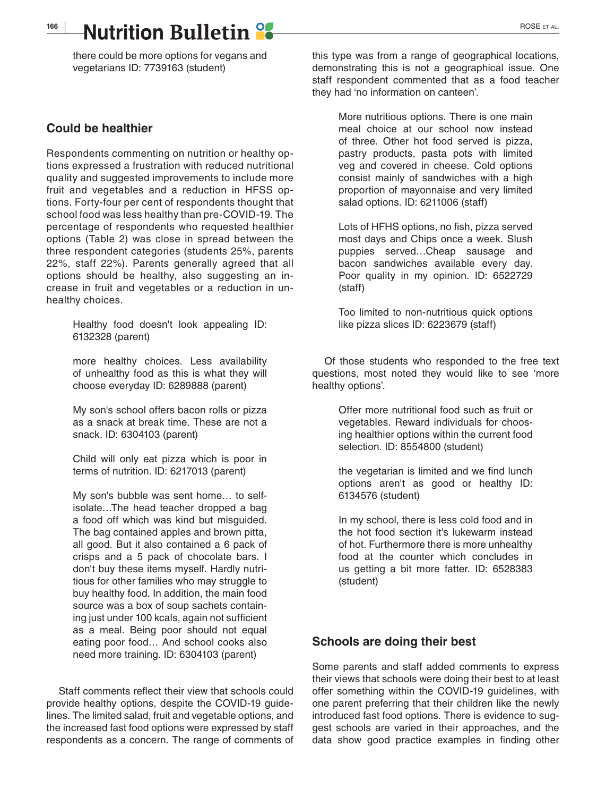## **166 |** ROSE et al.

there could be more options for vegans and vegetarians ID: 7739163 (student)

#### **Could be healthier**

Respondents commenting on nutrition or healthy options expressed a frustration with reduced nutritional quality and suggested improvements to include more fruit and vegetables and a reduction in HFSS options. Forty-four per cent of respondents thought that school food was less healthy than pre-COVID-19. The percentage of respondents who requested healthier options (Table 2) was close in spread between the three respondent categories (students 25%, parents 22%, staff 22%). Parents generally agreed that all options should be healthy, also suggesting an increase in fruit and vegetables or a reduction in unhealthy choices.

> Healthy food doesn't look appealing ID: 6132328 (parent)

> more healthy choices. Less availability of unhealthy food as this is what they will choose everyday ID: 6289888 (parent)

> My son's school offers bacon rolls or pizza as a snack at break time. These are not a snack. ID: 6304103 (parent)

> Child will only eat pizza which is poor in terms of nutrition. ID: 6217013 (parent)

My son's bubble was sent home… to selfisolate…The head teacher dropped a bag a food off which was kind but misguided. The bag contained apples and brown pitta, all good. But it also contained a 6 pack of crisps and a 5 pack of chocolate bars. I don't buy these items myself. Hardly nutritious for other families who may struggle to buy healthy food. In addition, the main food source was a box of soup sachets containing just under 100 kcals, again not sufficient as a meal. Being poor should not equal eating poor food… And school cooks also need more training. ID: 6304103 (parent)

Staff comments reflect their view that schools could provide healthy options, despite the COVID-19 guidelines. The limited salad, fruit and vegetable options, and the increased fast food options were expressed by staff respondents as a concern. The range of comments of

this type was from a range of geographical locations, demonstrating this is not a geographical issue. One staff respondent commented that as a food teacher they had 'no information on canteen'.

> More nutritious options. There is one main meal choice at our school now instead of three. Other hot food served is pizza, pastry products, pasta pots with limited veg and covered in cheese. Cold options consist mainly of sandwiches with a high proportion of mayonnaise and very limited salad options. ID: 6211006 (staff)

> Lots of HFHS options, no fish, pizza served most days and Chips once a week. Slush puppies served…Cheap sausage and bacon sandwiches available every day. Poor quality in my opinion. ID: 6522729 (staff)

> Too limited to non-nutritious quick options like pizza slices ID: 6223679 (staff)

Of those students who responded to the free text questions, most noted they would like to see 'more healthy options'.

> Offer more nutritional food such as fruit or vegetables. Reward individuals for choosing healthier options within the current food selection. ID: 8554800 (student)

> the vegetarian is limited and we find lunch options aren't as good or healthy ID: 6134576 (student)

> In my school, there is less cold food and in the hot food section it's lukewarm instead of hot. Furthermore there is more unhealthy food at the counter which concludes in us getting a bit more fatter. ID: 6528383 (student)

### **Schools are doing their best**

Some parents and staff added comments to express their views that schools were doing their best to at least offer something within the COVID-19 guidelines, with one parent preferring that their children like the newly introduced fast food options. There is evidence to suggest schools are varied in their approaches, and the data show good practice examples in finding other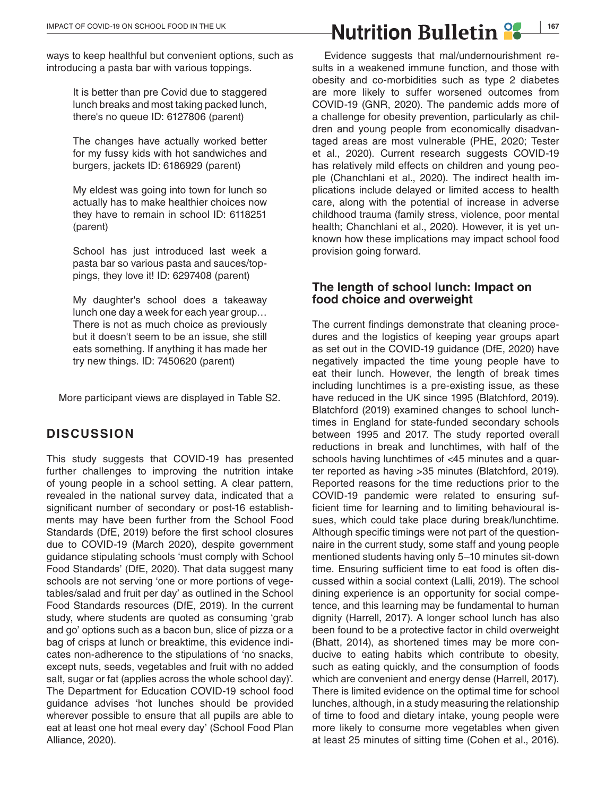ways to keep healthful but convenient options, such as introducing a pasta bar with various toppings.

> It is better than pre Covid due to staggered lunch breaks and most taking packed lunch, there's no queue ID: 6127806 (parent)

> The changes have actually worked better for my fussy kids with hot sandwiches and burgers, jackets ID: 6186929 (parent)

> My eldest was going into town for lunch so actually has to make healthier choices now they have to remain in school ID: 6118251 (parent)

> School has just introduced last week a pasta bar so various pasta and sauces/toppings, they love it! ID: 6297408 (parent)

> My daughter's school does a takeaway lunch one day a week for each year group… There is not as much choice as previously but it doesn't seem to be an issue, she still eats something. If anything it has made her try new things. ID: 7450620 (parent)

More participant views are displayed in Table S2.

## **DISCUSSION**

This study suggests that COVID-19 has presented further challenges to improving the nutrition intake of young people in a school setting. A clear pattern, revealed in the national survey data, indicated that a significant number of secondary or post-16 establishments may have been further from the School Food Standards (DfE, 2019) before the first school closures due to COVID-19 (March 2020), despite government guidance stipulating schools 'must comply with School Food Standards' (DfE, 2020). That data suggest many schools are not serving 'one or more portions of vegetables/salad and fruit per day' as outlined in the School Food Standards resources (DfE, 2019). In the current study, where students are quoted as consuming 'grab and go' options such as a bacon bun, slice of pizza or a bag of crisps at lunch or breaktime, this evidence indicates non-adherence to the stipulations of 'no snacks, except nuts, seeds, vegetables and fruit with no added salt, sugar or fat (applies across the whole school day)'. The Department for Education COVID-19 school food guidance advises 'hot lunches should be provided wherever possible to ensure that all pupils are able to eat at least one hot meal every day' (School Food Plan Alliance, 2020).

Evidence suggests that mal/undernourishment results in a weakened immune function, and those with obesity and co-morbidities such as type 2 diabetes are more likely to suffer worsened outcomes from COVID-19 (GNR, 2020). The pandemic adds more of a challenge for obesity prevention, particularly as children and young people from economically disadvantaged areas are most vulnerable (PHE, 2020; Tester et al., 2020). Current research suggests COVID-19 has relatively mild effects on children and young people (Chanchlani et al., 2020). The indirect health implications include delayed or limited access to health care, along with the potential of increase in adverse childhood trauma (family stress, violence, poor mental health; Chanchlani et al., 2020). However, it is yet unknown how these implications may impact school food provision going forward.

#### **The length of school lunch: Impact on food choice and overweight**

The current findings demonstrate that cleaning procedures and the logistics of keeping year groups apart as set out in the COVID-19 guidance (DfE, 2020) have negatively impacted the time young people have to eat their lunch. However, the length of break times including lunchtimes is a pre-existing issue, as these have reduced in the UK since 1995 (Blatchford, 2019). Blatchford (2019) examined changes to school lunchtimes in England for state-funded secondary schools between 1995 and 2017. The study reported overall reductions in break and lunchtimes, with half of the schools having lunchtimes of <45 minutes and a quarter reported as having >35 minutes (Blatchford, 2019). Reported reasons for the time reductions prior to the COVID-19 pandemic were related to ensuring sufficient time for learning and to limiting behavioural issues, which could take place during break/lunchtime. Although specific timings were not part of the questionnaire in the current study, some staff and young people mentioned students having only 5–10 minutes sit-down time. Ensuring sufficient time to eat food is often discussed within a social context (Lalli, 2019). The school dining experience is an opportunity for social competence, and this learning may be fundamental to human dignity (Harrell, 2017). A longer school lunch has also been found to be a protective factor in child overweight (Bhatt, 2014), as shortened times may be more conducive to eating habits which contribute to obesity, such as eating quickly, and the consumption of foods which are convenient and energy dense (Harrell, 2017). There is limited evidence on the optimal time for school lunches, although, in a study measuring the relationship of time to food and dietary intake, young people were more likely to consume more vegetables when given at least 25 minutes of sitting time (Cohen et al., 2016).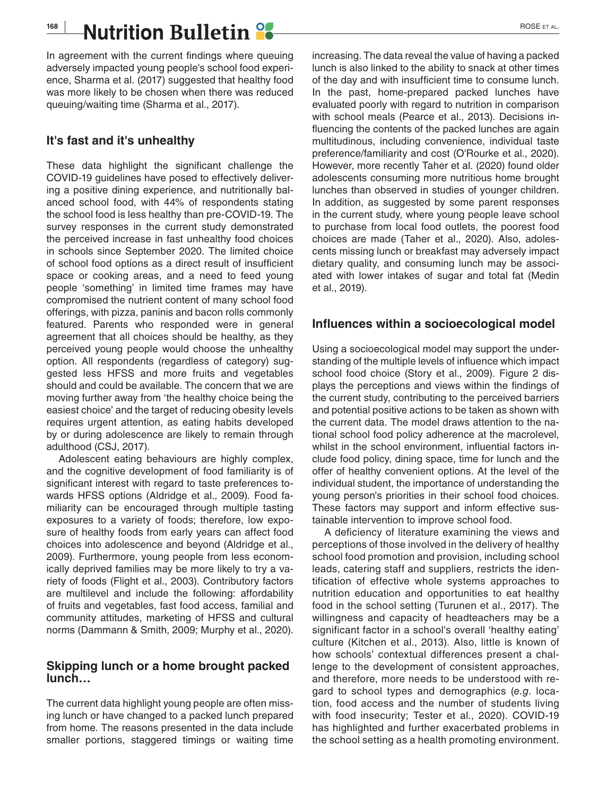## **168 |** ROSE et al.

In agreement with the current findings where queuing adversely impacted young people's school food experience, Sharma et al. (2017) suggested that healthy food was more likely to be chosen when there was reduced queuing/waiting time (Sharma et al., 2017).

### **It's fast and it's unhealthy**

These data highlight the significant challenge the COVID-19 guidelines have posed to effectively delivering a positive dining experience, and nutritionally balanced school food, with 44% of respondents stating the school food is less healthy than pre-COVID-19. The survey responses in the current study demonstrated the perceived increase in fast unhealthy food choices in schools since September 2020. The limited choice of school food options as a direct result of insufficient space or cooking areas, and a need to feed young people 'something' in limited time frames may have compromised the nutrient content of many school food offerings, with pizza, paninis and bacon rolls commonly featured. Parents who responded were in general agreement that all choices should be healthy, as they perceived young people would choose the unhealthy option. All respondents (regardless of category) suggested less HFSS and more fruits and vegetables should and could be available. The concern that we are moving further away from 'the healthy choice being the easiest choice' and the target of reducing obesity levels requires urgent attention, as eating habits developed by or during adolescence are likely to remain through adulthood (CSJ, 2017).

Adolescent eating behaviours are highly complex, and the cognitive development of food familiarity is of significant interest with regard to taste preferences towards HFSS options (Aldridge et al., 2009). Food familiarity can be encouraged through multiple tasting exposures to a variety of foods; therefore, low exposure of healthy foods from early years can affect food choices into adolescence and beyond (Aldridge et al., 2009). Furthermore, young people from less economically deprived families may be more likely to try a variety of foods (Flight et al., 2003). Contributory factors are multilevel and include the following: affordability of fruits and vegetables, fast food access, familial and community attitudes, marketing of HFSS and cultural norms (Dammann & Smith, 2009; Murphy et al., 2020).

#### **Skipping lunch or a home brought packed lunch…**

The current data highlight young people are often missing lunch or have changed to a packed lunch prepared from home. The reasons presented in the data include smaller portions, staggered timings or waiting time

increasing. The data reveal the value of having a packed lunch is also linked to the ability to snack at other times of the day and with insufficient time to consume lunch. In the past, home-prepared packed lunches have evaluated poorly with regard to nutrition in comparison with school meals (Pearce et al., 2013). Decisions influencing the contents of the packed lunches are again multitudinous, including convenience, individual taste preference/familiarity and cost (O'Rourke et al., 2020). However, more recently Taher et al. (2020) found older adolescents consuming more nutritious home brought lunches than observed in studies of younger children. In addition, as suggested by some parent responses in the current study, where young people leave school to purchase from local food outlets, the poorest food choices are made (Taher et al., 2020). Also, adolescents missing lunch or breakfast may adversely impact dietary quality, and consuming lunch may be associated with lower intakes of sugar and total fat (Medin et al., 2019).

### **Influences within a socioecological model**

Using a socioecological model may support the understanding of the multiple levels of influence which impact school food choice (Story et al., 2009). Figure 2 displays the perceptions and views within the findings of the current study, contributing to the perceived barriers and potential positive actions to be taken as shown with the current data. The model draws attention to the national school food policy adherence at the macrolevel, whilst in the school environment, influential factors include food policy, dining space, time for lunch and the offer of healthy convenient options. At the level of the individual student, the importance of understanding the young person's priorities in their school food choices. These factors may support and inform effective sustainable intervention to improve school food.

A deficiency of literature examining the views and perceptions of those involved in the delivery of healthy school food promotion and provision, including school leads, catering staff and suppliers, restricts the identification of effective whole systems approaches to nutrition education and opportunities to eat healthy food in the school setting (Turunen et al., 2017). The willingness and capacity of headteachers may be a significant factor in a school's overall 'healthy eating' culture (Kitchen et al., 2013). Also, little is known of how schools' contextual differences present a challenge to the development of consistent approaches, and therefore, more needs to be understood with regard to school types and demographics (*e.g*. location, food access and the number of students living with food insecurity; Tester et al., 2020). COVID-19 has highlighted and further exacerbated problems in the school setting as a health promoting environment.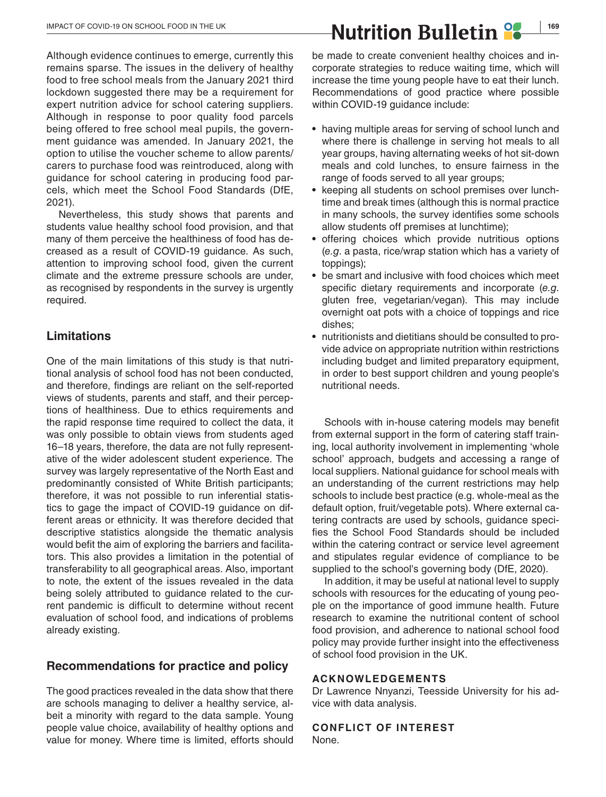Although evidence continues to emerge, currently this remains sparse. The issues in the delivery of healthy food to free school meals from the January 2021 third lockdown suggested there may be a requirement for expert nutrition advice for school catering suppliers. Although in response to poor quality food parcels being offered to free school meal pupils, the government guidance was amended. In January 2021, the option to utilise the voucher scheme to allow parents/ carers to purchase food was reintroduced, along with guidance for school catering in producing food parcels, which meet the School Food Standards (DfE, 2021).

Nevertheless, this study shows that parents and students value healthy school food provision, and that many of them perceive the healthiness of food has decreased as a result of COVID-19 guidance. As such, attention to improving school food, given the current climate and the extreme pressure schools are under, as recognised by respondents in the survey is urgently required.

## **Limitations**

One of the main limitations of this study is that nutritional analysis of school food has not been conducted, and therefore, findings are reliant on the self-reported views of students, parents and staff, and their perceptions of healthiness. Due to ethics requirements and the rapid response time required to collect the data, it was only possible to obtain views from students aged 16–18 years, therefore, the data are not fully representative of the wider adolescent student experience. The survey was largely representative of the North East and predominantly consisted of White British participants; therefore, it was not possible to run inferential statistics to gage the impact of COVID-19 guidance on different areas or ethnicity. It was therefore decided that descriptive statistics alongside the thematic analysis would befit the aim of exploring the barriers and facilitators. This also provides a limitation in the potential of transferability to all geographical areas. Also, important to note, the extent of the issues revealed in the data being solely attributed to guidance related to the current pandemic is difficult to determine without recent evaluation of school food, and indications of problems already existing.

### **Recommendations for practice and policy**

The good practices revealed in the data show that there are schools managing to deliver a healthy service, albeit a minority with regard to the data sample. Young people value choice, availability of healthy options and value for money. Where time is limited, efforts should

be made to create convenient healthy choices and incorporate strategies to reduce waiting time, which will increase the time young people have to eat their lunch. Recommendations of good practice where possible within COVID-19 guidance include:

- **•** having multiple areas for serving of school lunch and where there is challenge in serving hot meals to all year groups, having alternating weeks of hot sit-down meals and cold lunches, to ensure fairness in the range of foods served to all year groups;
- **•** keeping all students on school premises over lunchtime and break times (although this is normal practice in many schools, the survey identifies some schools allow students off premises at lunchtime);
- **•** offering choices which provide nutritious options (*e.g*. a pasta, rice/wrap station which has a variety of toppings);
- **•** be smart and inclusive with food choices which meet specific dietary requirements and incorporate (*e.g*. gluten free, vegetarian/vegan). This may include overnight oat pots with a choice of toppings and rice dishes;
- **•** nutritionists and dietitians should be consulted to provide advice on appropriate nutrition within restrictions including budget and limited preparatory equipment, in order to best support children and young people's nutritional needs.

Schools with in-house catering models may benefit from external support in the form of catering staff training, local authority involvement in implementing 'whole school' approach, budgets and accessing a range of local suppliers. National guidance for school meals with an understanding of the current restrictions may help schools to include best practice (e.g. whole-meal as the default option, fruit/vegetable pots). Where external catering contracts are used by schools, guidance specifies the School Food Standards should be included within the catering contract or service level agreement and stipulates regular evidence of compliance to be supplied to the school's governing body (DfE, 2020).

In addition, it may be useful at national level to supply schools with resources for the educating of young people on the importance of good immune health. Future research to examine the nutritional content of school food provision, and adherence to national school food policy may provide further insight into the effectiveness of school food provision in the UK.

#### **ACKNOWLEDGEMENTS**

Dr Lawrence Nnyanzi, Teesside University for his advice with data analysis.

#### **CONFLICT OF INTEREST**

None.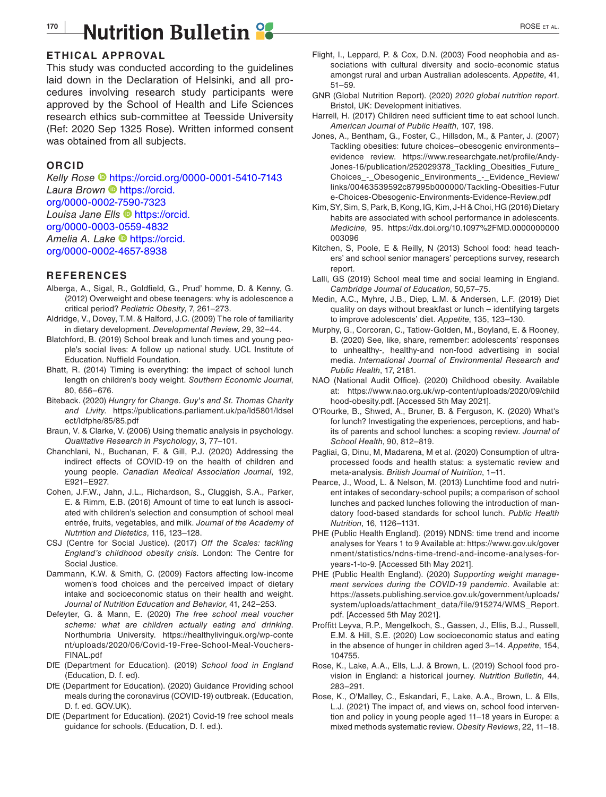## **170 |** ROSE et al.

#### **ETHICAL APPROVAL**

This study was conducted according to the guidelines laid down in the Declaration of Helsinki, and all procedures involving research study participants were approved by the School of Health and Life Sciences research ethics sub-committee at Teesside University (Ref: 2020 Sep 1325 Rose). Written informed consent was obtained from all subjects.

#### **ORCID**

*Kelly Rose* <https://orcid.org/0000-0001-5410-7143> *Laura Brown* [https://orcid.](https://orcid.org/0000-0002-7590-7323) [org/0000-0002-7590-7323](https://orcid.org/0000-0002-7590-7323) *Louisa Jane Ells* [https://orcid.](https://orcid.org/0000-0003-0559-4832) [org/0000-0003-0559-4832](https://orcid.org/0000-0003-0559-4832) Amelia A. Lake **Inttps://orcid.** [org/0000-0002-4657-8938](https://orcid.org/0000-0002-4657-8938)

#### **REFERENCES**

- Alberga, A., Sigal, R., Goldfield, G., Prud' homme, D. & Kenny, G. (2012) Overweight and obese teenagers: why is adolescence a critical period? *Pediatric Obesity*, 7, 261–273.
- Aldridge, V., Dovey, T.M. & Halford, J.C. (2009) The role of familiarity in dietary development. *Developmental Review*, 29, 32–44.
- Blatchford, B. (2019) School break and lunch times and young people's social lives: A follow up national study. UCL Institute of Education. Nuffield Foundation.
- Bhatt, R. (2014) Timing is everything: the impact of school lunch length on children's body weight. *Southern Economic Journal*, 80, 656–676.
- Biteback. (2020) *Hungry for Change. Guy's and St. Thomas Charity and Livity*. [https://publications.parliament.uk/pa/ld5801/ldsel](https://publications.parliament.uk/pa/ld5801/ldselect/ldfphe/85/85.pdf) [ect/ldfphe/85/85.pdf](https://publications.parliament.uk/pa/ld5801/ldselect/ldfphe/85/85.pdf)
- Braun, V. & Clarke, V. (2006) Using thematic analysis in psychology. *Qualitative Research in Psychology*, 3, 77–101.
- Chanchlani, N., Buchanan, F. & Gill, P.J. (2020) Addressing the indirect effects of COVID-19 on the health of children and young people. *Canadian Medical Association Journal*, 192, E921–E927.
- Cohen, J.F.W., Jahn, J.L., Richardson, S., Cluggish, S.A., Parker, E. & Rimm, E.B. (2016) Amount of time to eat lunch is associated with children's selection and consumption of school meal entrée, fruits, vegetables, and milk. *Journal of the Academy of Nutrition and Dietetics*, 116, 123–128.
- CSJ (Centre for Social Justice). (2017) *Off the Scales: tackling England's childhood obesity crisis*. London: The Centre for Social Justice.
- Dammann, K.W. & Smith, C. (2009) Factors affecting low-income women's food choices and the perceived impact of dietary intake and socioeconomic status on their health and weight. *Journal of Nutrition Education and Behavior*, 41, 242–253.
- Defeyter, G. & Mann, E. (2020) *The free school meal voucher scheme: what are children actually eating and drinking*. Northumbria University. [https://healthylivinguk.org/wp-conte](https://healthylivinguk.org/wp-content/uploads/2020/06/Covid-19-Free-School-Meal-Vouchers-FINAL.pdf) [nt/uploads/2020/06/Covid-19-Free-School-Meal-Vouchers-](https://healthylivinguk.org/wp-content/uploads/2020/06/Covid-19-Free-School-Meal-Vouchers-FINAL.pdf)[FINAL.pdf](https://healthylivinguk.org/wp-content/uploads/2020/06/Covid-19-Free-School-Meal-Vouchers-FINAL.pdf)
- DfE (Department for Education). (2019) *School food in England* (Education, D. f. ed).
- DfE (Department for Education). (2020) Guidance Providing school meals during the coronavirus (COVID-19) outbreak. (Education, D. f. ed. GOV.UK).
- DfE (Department for Education). (2021) Covid-19 free school meals guidance for schools. (Education, D. f. ed.).
- Flight, I., Leppard, P. & Cox, D.N. (2003) Food neophobia and associations with cultural diversity and socio-economic status amongst rural and urban Australian adolescents. *Appetite*, 41, 51–59.
- GNR (Global Nutrition Report). (2020) *2020 global nutrition report*. Bristol, UK: Development initiatives.
- Harrell, H. (2017) Children need sufficient time to eat school lunch. *American Journal of Public Health*, 107, 198.
- Jones, A., Bentham, G., Foster, C., Hillsdon, M., & Panter, J. (2007) Tackling obesities: future choices–obesogenic environments– evidence review. [https://www.researchgate.net/profile/Andy-](https://www.researchgate.net/profile/Andy-Jones-16/publication/252029378_Tackling_Obesities_Future_Choices_-_Obesogenic_Environments_-_Evidence_Review/links/00463539592c87995b000000/Tackling-Obesities-Future-Choices-Obesogenic-Environments-Evidence-Review.pdf)[Jones-16/publication/252029378\\_Tackling\\_Obesities\\_Future\\_](https://www.researchgate.net/profile/Andy-Jones-16/publication/252029378_Tackling_Obesities_Future_Choices_-_Obesogenic_Environments_-_Evidence_Review/links/00463539592c87995b000000/Tackling-Obesities-Future-Choices-Obesogenic-Environments-Evidence-Review.pdf) [Choices\\_-\\_Obesogenic\\_Environments\\_-\\_Evidence\\_Review/](https://www.researchgate.net/profile/Andy-Jones-16/publication/252029378_Tackling_Obesities_Future_Choices_-_Obesogenic_Environments_-_Evidence_Review/links/00463539592c87995b000000/Tackling-Obesities-Future-Choices-Obesogenic-Environments-Evidence-Review.pdf) [links/00463539592c87995b000000/Tackling-Obesities-Futur](https://www.researchgate.net/profile/Andy-Jones-16/publication/252029378_Tackling_Obesities_Future_Choices_-_Obesogenic_Environments_-_Evidence_Review/links/00463539592c87995b000000/Tackling-Obesities-Future-Choices-Obesogenic-Environments-Evidence-Review.pdf) [e-Choices-Obesogenic-Environments-Evidence-Review.pdf](https://www.researchgate.net/profile/Andy-Jones-16/publication/252029378_Tackling_Obesities_Future_Choices_-_Obesogenic_Environments_-_Evidence_Review/links/00463539592c87995b000000/Tackling-Obesities-Future-Choices-Obesogenic-Environments-Evidence-Review.pdf)
- Kim, SY, Sim, S, Park, B, Kong, IG, Kim, J-H & Choi, HG (2016) Dietary habits are associated with school performance in adolescents. *Medicine*, 95. [https://dx.doi.org/10.1097%2FMD.0000000000](https://dx.doi.org/10.1097%2FMD.0000000000003096) [003096](https://dx.doi.org/10.1097%2FMD.0000000000003096)
- Kitchen, S, Poole, E & Reilly, N (2013) School food: head teachers' and school senior managers' perceptions survey, research report.
- Lalli, GS (2019) School meal time and social learning in England. *Cambridge Journal of Education*, 50,57–75.
- Medin, A.C., Myhre, J.B., Diep, L.M. & Andersen, L.F. (2019) Diet quality on days without breakfast or lunch – identifying targets to improve adolescents' diet. *Appetite*, 135, 123–130.
- Murphy, G., Corcoran, C., Tatlow-Golden, M., Boyland, E. & Rooney, B. (2020) See, like, share, remember: adolescents' responses to unhealthy-, healthy-and non-food advertising in social media. *International Journal of Environmental Research and Public Health*, 17, 2181.
- NAO (National Audit Office). (2020) Childhood obesity. Available at: [https://www.nao.org.uk/wp-content/uploads/2020/09/child](https://www.nao.org.uk/wp-content/uploads/2020/09/childhood-obesity.pdf) [hood-obesity.pdf.](https://www.nao.org.uk/wp-content/uploads/2020/09/childhood-obesity.pdf) [Accessed 5th May 2021].
- O'Rourke, B., Shwed, A., Bruner, B. & Ferguson, K. (2020) What's for lunch? Investigating the experiences, perceptions, and habits of parents and school lunches: a scoping review. *Journal of School Health*, 90, 812–819.
- Pagliai, G, Dinu, M, Madarena, M et al. (2020) Consumption of ultraprocessed foods and health status: a systematic review and meta-analysis. *British Journal of Nutrition*, 1–11.
- Pearce, J., Wood, L. & Nelson, M. (2013) Lunchtime food and nutrient intakes of secondary-school pupils; a comparison of school lunches and packed lunches following the introduction of mandatory food-based standards for school lunch. *Public Health Nutrition*, 16, 1126–1131.
- PHE (Public Health England). (2019) NDNS: time trend and income analyses for Years 1 to 9 Available at: [https://www.gov.uk/gover](https://www.gov.uk/government/statistics/ndns-time-trend-and-income-analyses-for-years-1-to-9) [nment/statistics/ndns-time-trend-and-income-analyses-for](https://www.gov.uk/government/statistics/ndns-time-trend-and-income-analyses-for-years-1-to-9)[years-1-to-9](https://www.gov.uk/government/statistics/ndns-time-trend-and-income-analyses-for-years-1-to-9). [Accessed 5th May 2021].
- PHE (Public Health England). (2020) *Supporting weight management services during the COVID-19 pandemic*. Available at: [https://assets.publishing.service.gov.uk/government/uploads/](https://assets.publishing.service.gov.uk/government/uploads/system/uploads/attachment_data/file/915274/WMS_Report.pdf) [system/uploads/attachment\\_data/file/915274/WMS\\_Report.](https://assets.publishing.service.gov.uk/government/uploads/system/uploads/attachment_data/file/915274/WMS_Report.pdf) [pdf](https://assets.publishing.service.gov.uk/government/uploads/system/uploads/attachment_data/file/915274/WMS_Report.pdf). [Accessed 5th May 2021].
- Proffitt Leyva, R.P., Mengelkoch, S., Gassen, J., Ellis, B.J., Russell, E.M. & Hill, S.E. (2020) Low socioeconomic status and eating in the absence of hunger in children aged 3–14. *Appetite*, 154, 104755.
- Rose, K., Lake, A.A., Ells, L.J. & Brown, L. (2019) School food provision in England: a historical journey. *Nutrition Bulletin*, 44, 283–291.
- Rose, K., O'Malley, C., Eskandari, F., Lake, A.A., Brown, L. & Ells, L.J. (2021) The impact of, and views on, school food intervention and policy in young people aged 11–18 years in Europe: a mixed methods systematic review. *Obesity Reviews*, 22, 11–18.